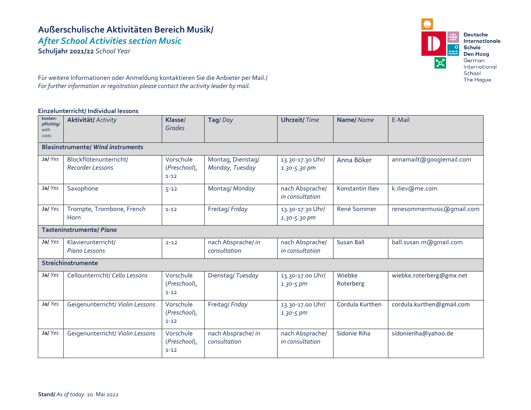# **Außerschulische Aktivitäten Bereich Musik/** *After School Activities section Music*

**Schuljahr 2021/22** *School Year*



Für weitere Informationen oder Anmeldung kontaktieren Sie die Anbieter per Mail./ *For further information or registration please contact the activity leader by mail.*

#### **Einzelunterricht/ Individual lessons**

| kosten-<br>pflichtig/<br>with<br>costs   | <b>Aktivität/ Activity</b>                 | Klasse/<br><b>Grades</b>              | Tag/Day                              | <b>Uhrzeit/Time</b>                | Name/Name           | E-Mail                    |  |  |
|------------------------------------------|--------------------------------------------|---------------------------------------|--------------------------------------|------------------------------------|---------------------|---------------------------|--|--|
| <b>Blasinstrumente/ Wind instruments</b> |                                            |                                       |                                      |                                    |                     |                           |  |  |
| Ja/Yes                                   | Blockflötenunterricht/<br>Recorder Lessons | Vorschule<br>(Preschool),<br>$1 - 12$ | Montag, Dienstag/<br>Monday, Tuesday | 13.30-17.30 Uhr/<br>1.30-5.30 pm   | Anna Böker          | annamailt@googlemail.com  |  |  |
| Ja/Yes                                   | Saxophone                                  | $5 - 12$                              | Montag/ Monday                       | nach Absprache/<br>in consultation | Konstantin Iliev    | k.iliev@me.com            |  |  |
| Ja/Yes                                   | Trompte, Trombone, French<br>Horn          | $1 - 12$                              | Freitag/Friday                       | 13.30-17.30 Uhr/<br>1.30-5.30 pm   | René Sommer         | renesommermusic@gmail.com |  |  |
| <b>Tasteninstrumente/ Piano</b>          |                                            |                                       |                                      |                                    |                     |                           |  |  |
| Ja/Yes                                   | Klavierunterricht/<br>Piano Lessons        | $2 - 12$                              | nach Absprache/ in<br>consultation   | nach Absprache/<br>in consultation | <b>Susan Ball</b>   | ball.susan.m@gmail.com    |  |  |
| Streichinstrumente                       |                                            |                                       |                                      |                                    |                     |                           |  |  |
| Ja/Yes                                   | Cellounterricht/ Cello Lessons             | Vorschule<br>(Preschool),<br>$1 - 12$ | Dienstag/Tuesday                     | 13.30-17.00 Uhr/<br>$1.30 - 5 pm$  | Wiebke<br>Roterberg | wiebke.roterberg@gmx.net  |  |  |
| Ja/Yes                                   | Geigenunterricht/ Violin Lessons           | Vorschule<br>(Preschool),<br>$1 - 12$ | Freitag/Friday                       | 13.30-17.00 Uhr/<br>$1.30 - 5 pm$  | Cordula Kurthen     | cordula.kurthen@gmail.com |  |  |
| Ja/Yes                                   | Geigenunterricht/ Violin Lessons           | Vorschule<br>(Preschool),<br>$1 - 12$ | nach Absprache/ in<br>consultation   | nach Absprache/<br>in consultation | Sidonie Riha        | sidonieriha@yahoo.de      |  |  |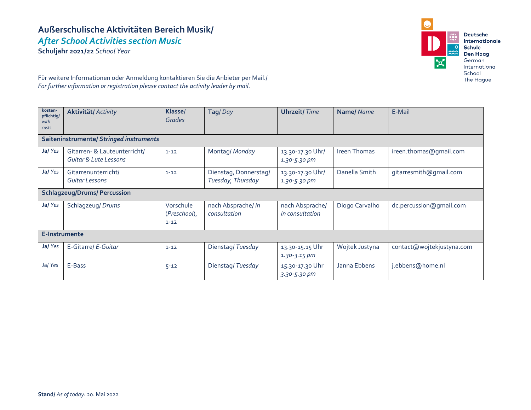# **Außerschulische Aktivitäten Bereich Musik/** *After School Activities section Music*

**Schuljahr 2021/22** *School Year*



Für weitere Informationen oder Anmeldung kontaktieren Sie die Anbieter per Mail./ *For further information or registration please contact the activity leader by mail.*

| kosten-<br>pflichtig/<br>with<br>costs  | <b>Aktivität/ Activity</b>                            | Klasse/<br><b>Grades</b>              | Tag/Day                                    | <b>Uhrzeit/Time</b>                  | Name/Name           | E-Mail                    |  |  |
|-----------------------------------------|-------------------------------------------------------|---------------------------------------|--------------------------------------------|--------------------------------------|---------------------|---------------------------|--|--|
| Saiteninstrumente/ Stringed instruments |                                                       |                                       |                                            |                                      |                     |                           |  |  |
| Ja/Yes                                  | Gitarren- & Lauteunterricht/<br>Guitar & Lute Lessons | $1 - 12$                              | Montag/ Monday                             | 13.30-17.30 Uhr/<br>$1.30 - 5.30$ pm | <b>Ireen Thomas</b> | ireen.thomas@gmail.com    |  |  |
| Ja/Yes                                  | Gitarrenunterricht/<br>Guitar Lessons                 | $1 - 12$                              | Dienstag, Donnerstag/<br>Tuesday, Thursday | 13.30-17.30 Uhr/<br>1.30-5.30 pm     | Danella Smith       | gitarresmith@gmail.com    |  |  |
| <b>Schlagzeug/Drums/ Percussion</b>     |                                                       |                                       |                                            |                                      |                     |                           |  |  |
| Ja/Yes                                  | Schlagzeug/ Drums                                     | Vorschule<br>(Preschool),<br>$1 - 12$ | nach Absprache/ in<br>consultation         | nach Absprache/<br>in consultation   | Diogo Carvalho      | dc.percussion@gmail.com   |  |  |
| E-Instrumente                           |                                                       |                                       |                                            |                                      |                     |                           |  |  |
| Ja/Yes                                  | E-Gitarre/ E-Guitar                                   | $1 - 12$                              | Dienstag/Tuesday                           | 13.30-15.15 Uhr<br>$1.30 - 3.15$ pm  | Wojtek Justyna      | contact@wojtekjustyna.com |  |  |
| Ja/Yes                                  | E-Bass                                                | $5 - 12$                              | Dienstag/Tuesday                           | 15.30-17.30 Uhr<br>3.30-5.30 pm      | Janna Ebbens        | j.ebbens@home.nl          |  |  |